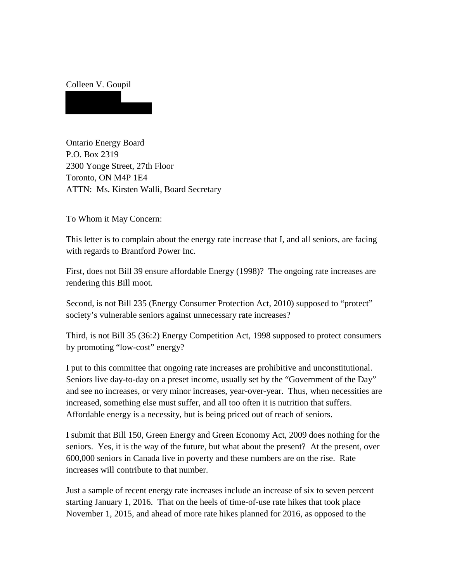## Colleen V. Goupil

Ontario Energy Board P.O. Box 2319 2300 Yonge Street, 27th Floor Toronto, ON M4P 1E4 ATTN: Ms. Kirsten Walli, Board Secretary

To Whom it May Concern:

This letter is to complain about the energy rate increase that I, and all seniors, are facing with regards to Brantford Power Inc.

First, does not Bill 39 ensure affordable Energy (1998)? The ongoing rate increases are rendering this Bill moot.

Second, is not Bill 235 (Energy Consumer Protection Act, 2010) supposed to "protect" society's vulnerable seniors against unnecessary rate increases?

Third, is not Bill 35 (36:2) Energy Competition Act, 1998 supposed to protect consumers by promoting "low-cost" energy?

I put to this committee that ongoing rate increases are prohibitive and unconstitutional. Seniors live day-to-day on a preset income, usually set by the "Government of the Day" and see no increases, or very minor increases, year-over-year. Thus, when necessities are increased, something else must suffer, and all too often it is nutrition that suffers. Affordable energy is a necessity, but is being priced out of reach of seniors.

I submit that Bill 150, Green Energy and Green Economy Act, 2009 does nothing for the seniors. Yes, it is the way of the future, but what about the present? At the present, over 600,000 seniors in Canada live in poverty and these numbers are on the rise. Rate increases will contribute to that number.

Just a sample of recent energy rate increases include an increase of six to seven percent starting January 1, 2016. That on the heels of time-of-use rate hikes that took place November 1, 2015, and ahead of more rate hikes planned for 2016, as opposed to the